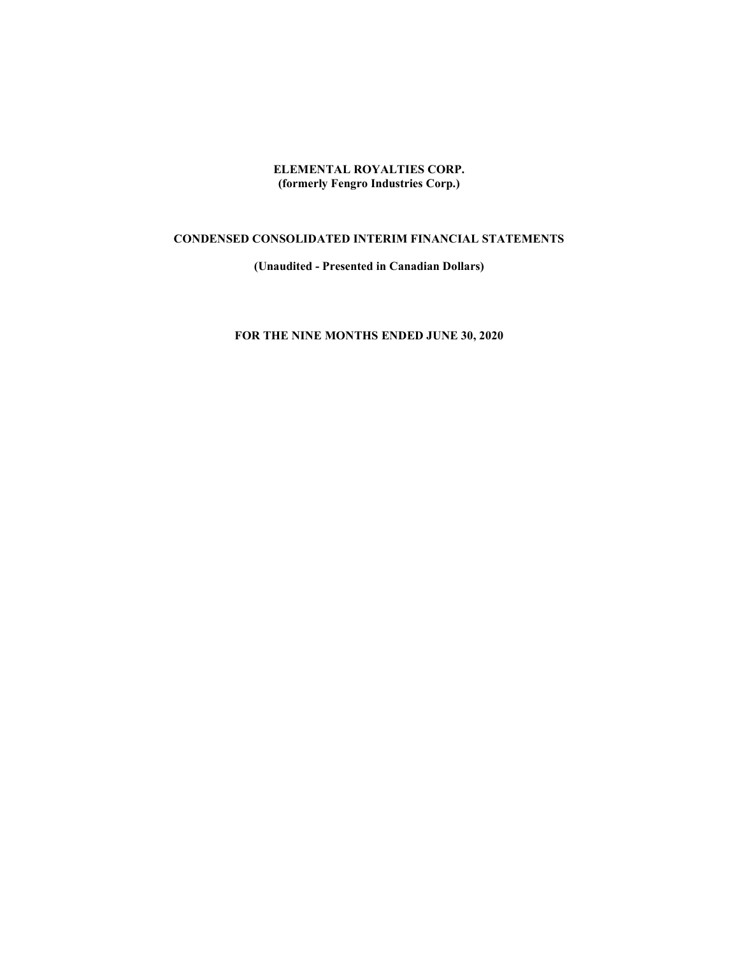ELEMENTAL ROYALTIES CORP. (formerly Fengro Industries Corp.)

# CONDENSED CONSOLIDATED INTERIM FINANCIAL STATEMENTS

(Unaudited - Presented in Canadian Dollars)

# FOR THE NINE MONTHS ENDED JUNE 30, 2020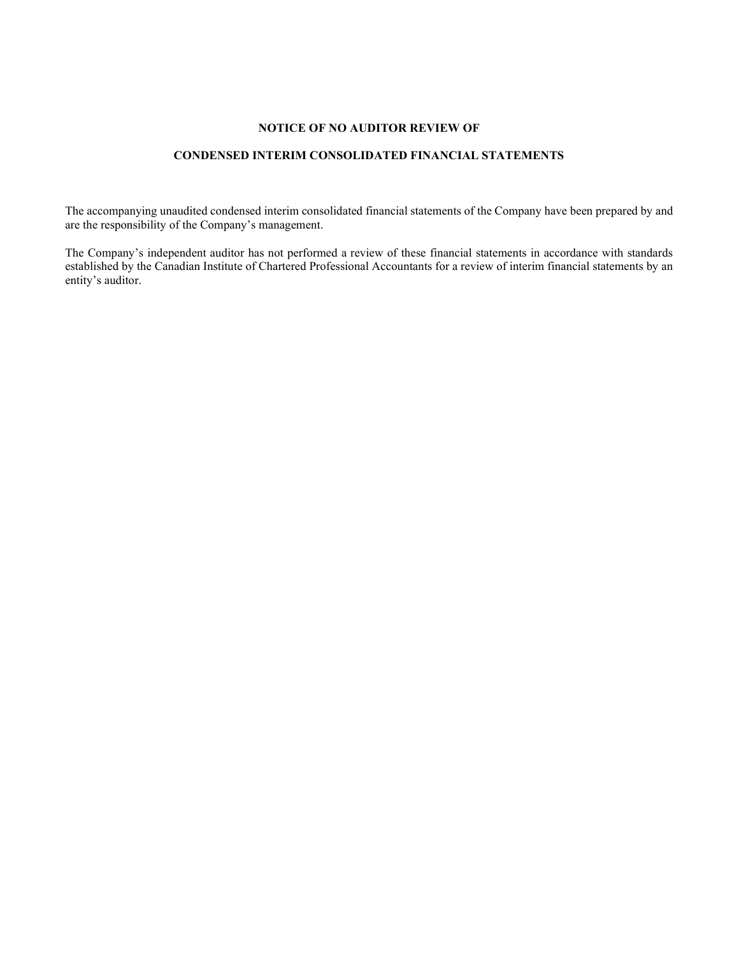### NOTICE OF NO AUDITOR REVIEW OF

# CONDENSED INTERIM CONSOLIDATED FINANCIAL STATEMENTS

The accompanying unaudited condensed interim consolidated financial statements of the Company have been prepared by and are the responsibility of the Company's management.

The Company's independent auditor has not performed a review of these financial statements in accordance with standards established by the Canadian Institute of Chartered Professional Accountants for a review of interim financial statements by an entity's auditor.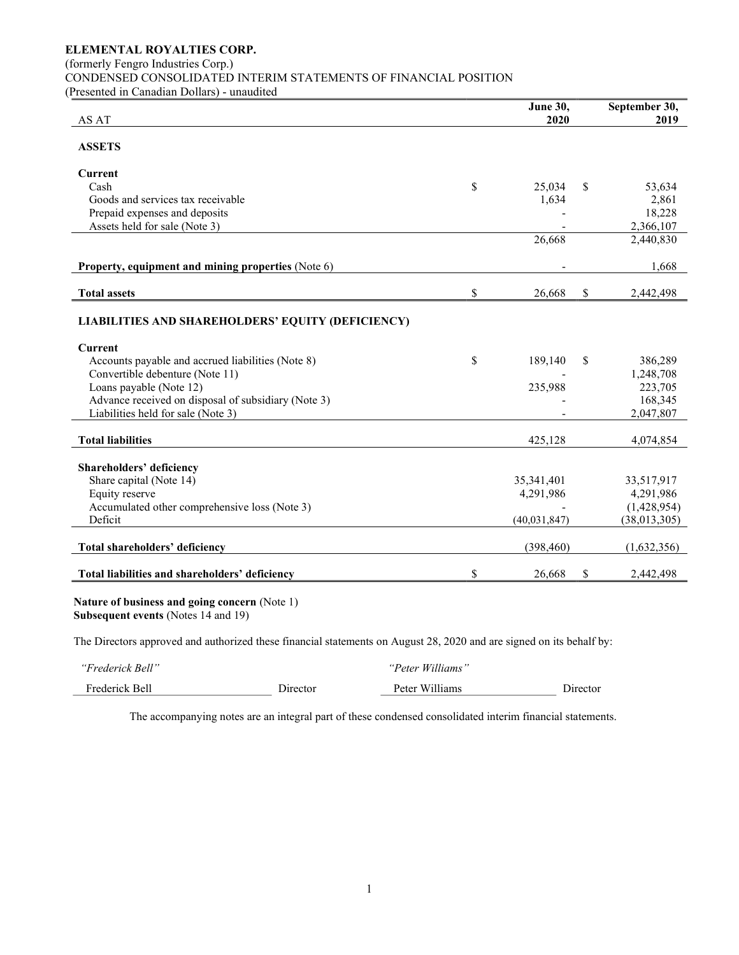(formerly Fengro Industries Corp.)

CONDENSED CONSOLIDATED INTERIM STATEMENTS OF FINANCIAL POSITION

(Presented in Canadian Dollars) - unaudited

| AS AT                                               | June 30,<br>2020 | September 30,<br>2019 |
|-----------------------------------------------------|------------------|-----------------------|
| <b>ASSETS</b>                                       |                  |                       |
| <b>Current</b>                                      |                  |                       |
| Cash                                                | \$<br>25,034     | \$<br>53,634          |
| Goods and services tax receivable                   | 1,634            | 2,861                 |
| Prepaid expenses and deposits                       |                  | 18,228                |
| Assets held for sale (Note 3)                       |                  | 2,366,107             |
|                                                     | 26,668           | 2,440,830             |
| Property, equipment and mining properties (Note 6)  |                  | 1,668                 |
| <b>Total assets</b>                                 | \$<br>26,668     | \$<br>2,442,498       |
| LIABILITIES AND SHAREHOLDERS' EQUITY (DEFICIENCY)   |                  |                       |
| <b>Current</b>                                      |                  |                       |
| Accounts payable and accrued liabilities (Note 8)   | \$<br>189,140    | \$<br>386,289         |
| Convertible debenture (Note 11)                     |                  | 1,248,708             |
| Loans payable (Note 12)                             | 235,988          | 223,705               |
| Advance received on disposal of subsidiary (Note 3) |                  | 168,345               |
| Liabilities held for sale (Note 3)                  |                  | 2,047,807             |
| <b>Total liabilities</b>                            | 425,128          | 4,074,854             |
| Shareholders' deficiency                            |                  |                       |
| Share capital (Note 14)                             | 35,341,401       | 33,517,917            |
| Equity reserve                                      | 4,291,986        | 4,291,986             |
| Accumulated other comprehensive loss (Note 3)       |                  | (1,428,954)           |
| Deficit                                             | (40,031,847)     | (38,013,305)          |
| Total shareholders' deficiency                      | (398, 460)       | (1,632,356)           |
| Total liabilities and shareholders' deficiency      | \$<br>26,668     | \$<br>2,442,498       |
| Nature of business and going concern (Note 1)       |                  |                       |

Subsequent events (Notes 14 and 19)

The Directors approved and authorized these financial statements on August 28, 2020 and are signed on its behalf by:

| "Frederick Bell" |          | "Peter Williams" |          |
|------------------|----------|------------------|----------|
| Frederick Bell   | Director | Peter Williams   | Director |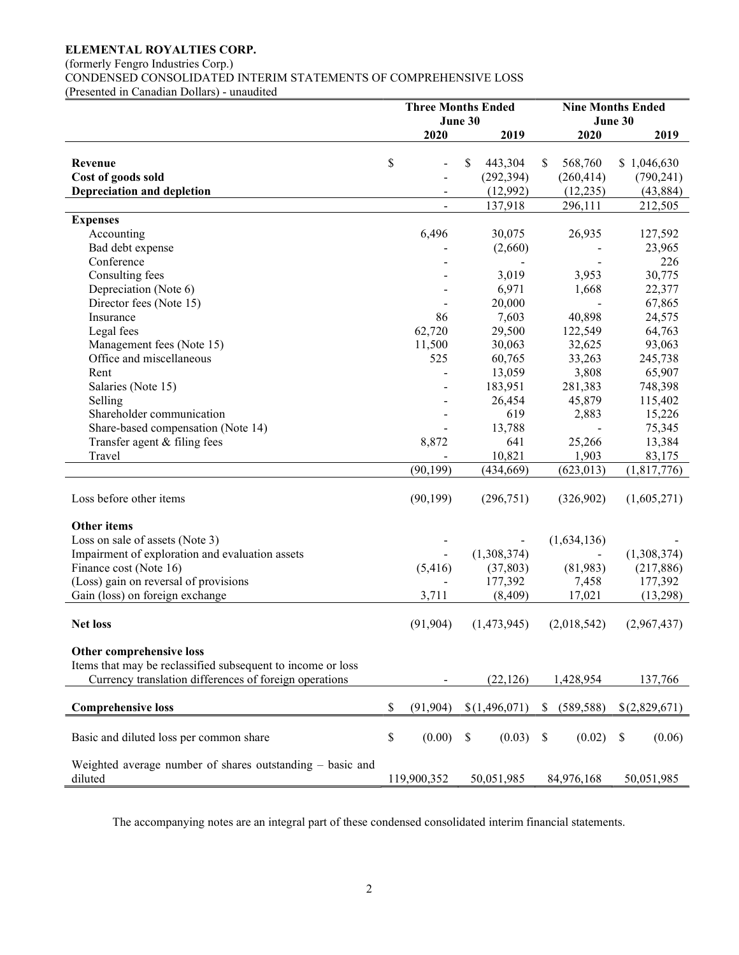(formerly Fengro Industries Corp.)

CONDENSED CONSOLIDATED INTERIM STATEMENTS OF COMPREHENSIVE LOSS

(Presented in Canadian Dollars) - unaudited

|                                                             | <b>Three Months Ended</b> |               |         |               |    |             | <b>Nine Months Ended</b> |               |  |  |  |
|-------------------------------------------------------------|---------------------------|---------------|---------|---------------|----|-------------|--------------------------|---------------|--|--|--|
|                                                             |                           |               | June 30 |               |    |             | June 30                  |               |  |  |  |
|                                                             |                           | 2020          |         | 2019          |    | 2020        |                          | 2019          |  |  |  |
|                                                             |                           |               |         |               |    |             |                          |               |  |  |  |
| Revenue                                                     | \$                        |               | \$      | 443,304       | \$ | 568,760     |                          | \$1,046,630   |  |  |  |
| Cost of goods sold                                          |                           |               |         | (292, 394)    |    | (260, 414)  |                          | (790, 241)    |  |  |  |
| <b>Depreciation and depletion</b>                           |                           | -             |         | (12,992)      |    | (12, 235)   |                          | (43, 884)     |  |  |  |
|                                                             |                           | $\frac{1}{2}$ |         | 137,918       |    | 296,111     |                          | 212,505       |  |  |  |
| <b>Expenses</b>                                             |                           |               |         |               |    |             |                          |               |  |  |  |
| Accounting                                                  |                           | 6,496         |         | 30,075        |    | 26,935      |                          | 127,592       |  |  |  |
| Bad debt expense                                            |                           |               |         | (2,660)       |    |             |                          | 23,965        |  |  |  |
| Conference                                                  |                           |               |         |               |    |             |                          | 226           |  |  |  |
| Consulting fees                                             |                           |               |         | 3,019         |    | 3,953       |                          | 30,775        |  |  |  |
| Depreciation (Note 6)                                       |                           |               |         | 6,971         |    | 1,668       |                          | 22,377        |  |  |  |
| Director fees (Note 15)                                     |                           |               |         | 20,000        |    |             |                          | 67,865        |  |  |  |
| Insurance                                                   |                           | 86            |         | 7,603         |    | 40,898      |                          | 24,575        |  |  |  |
| Legal fees                                                  |                           | 62,720        |         | 29,500        |    | 122,549     |                          | 64,763        |  |  |  |
| Management fees (Note 15)                                   |                           | 11,500        |         | 30,063        |    | 32,625      |                          | 93,063        |  |  |  |
| Office and miscellaneous                                    |                           | 525           |         | 60,765        |    | 33,263      |                          | 245,738       |  |  |  |
| Rent                                                        |                           |               |         | 13,059        |    | 3,808       |                          | 65,907        |  |  |  |
| Salaries (Note 15)                                          |                           |               |         | 183,951       |    | 281,383     |                          | 748,398       |  |  |  |
| Selling                                                     |                           |               |         | 26,454        |    | 45,879      |                          | 115,402       |  |  |  |
| Shareholder communication                                   |                           |               |         | 619           |    | 2,883       |                          | 15,226        |  |  |  |
| Share-based compensation (Note 14)                          |                           |               |         | 13,788        |    |             |                          | 75,345        |  |  |  |
| Transfer agent & filing fees                                |                           | 8,872         |         | 641           |    | 25,266      |                          | 13,384        |  |  |  |
| Travel                                                      |                           |               |         | 10,821        |    | 1,903       |                          | 83,175        |  |  |  |
|                                                             |                           | (90, 199)     |         | (434, 669)    |    | (623, 013)  |                          | (1,817,776)   |  |  |  |
|                                                             |                           |               |         |               |    |             |                          |               |  |  |  |
| Loss before other items                                     |                           | (90, 199)     |         | (296,751)     |    | (326,902)   |                          | (1,605,271)   |  |  |  |
|                                                             |                           |               |         |               |    |             |                          |               |  |  |  |
| Other items                                                 |                           |               |         |               |    |             |                          |               |  |  |  |
| Loss on sale of assets (Note 3)                             |                           |               |         |               |    | (1,634,136) |                          |               |  |  |  |
| Impairment of exploration and evaluation assets             |                           |               |         | (1,308,374)   |    |             |                          | (1,308,374)   |  |  |  |
| Finance cost (Note 16)                                      |                           | (5,416)       |         | (37, 803)     |    | (81,983)    |                          | (217, 886)    |  |  |  |
| (Loss) gain on reversal of provisions                       |                           |               |         | 177,392       |    | 7,458       |                          | 177,392       |  |  |  |
| Gain (loss) on foreign exchange                             |                           | 3,711         |         | (8,409)       |    | 17,021      |                          | (13,298)      |  |  |  |
|                                                             |                           |               |         |               |    |             |                          |               |  |  |  |
| <b>Net loss</b>                                             |                           | (91, 904)     |         | (1,473,945)   |    | (2,018,542) |                          | (2,967,437)   |  |  |  |
|                                                             |                           |               |         |               |    |             |                          |               |  |  |  |
| Other comprehensive loss                                    |                           |               |         |               |    |             |                          |               |  |  |  |
| Items that may be reclassified subsequent to income or loss |                           |               |         |               |    |             |                          |               |  |  |  |
| Currency translation differences of foreign operations      |                           |               |         | (22, 126)     |    | 1,428,954   |                          | 137,766       |  |  |  |
|                                                             |                           |               |         |               |    |             |                          |               |  |  |  |
| <b>Comprehensive loss</b>                                   | \$                        | (91, 904)     |         | \$(1,496,071) | S  | (589, 588)  |                          | \$(2,829,671) |  |  |  |
|                                                             |                           |               |         |               |    |             |                          |               |  |  |  |
| Basic and diluted loss per common share                     | \$                        | (0.00)        | \$      | (0.03)        | \$ | (0.02)      | S                        | (0.06)        |  |  |  |
|                                                             |                           |               |         |               |    |             |                          |               |  |  |  |
| Weighted average number of shares outstanding - basic and   |                           |               |         |               |    |             |                          |               |  |  |  |
| diluted                                                     |                           | 119,900,352   |         | 50,051,985    |    | 84,976,168  |                          | 50,051,985    |  |  |  |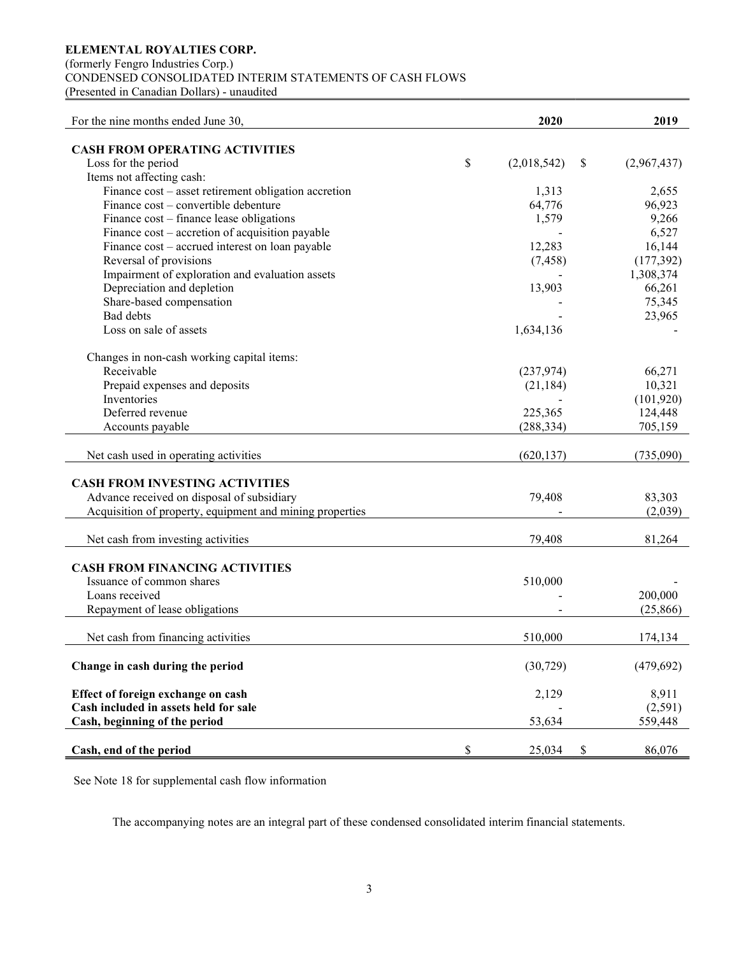(formerly Fengro Industries Corp.)

CONDENSED CONSOLIDATED INTERIM STATEMENTS OF CASH FLOWS

(Presented in Canadian Dollars) - unaudited

| For the nine months ended June 30,                       | 2020               | 2019        |
|----------------------------------------------------------|--------------------|-------------|
|                                                          |                    |             |
| <b>CASH FROM OPERATING ACTIVITIES</b>                    | \$                 |             |
| Loss for the period                                      | (2,018,542)<br>\$  | (2,967,437) |
| Items not affecting cash:                                |                    |             |
| Finance cost - asset retirement obligation accretion     | 1,313              | 2,655       |
| Finance cost – convertible debenture                     | 64,776             | 96,923      |
| Finance cost - finance lease obligations                 | 1,579              | 9,266       |
| Finance cost – accretion of acquisition payable          |                    | 6,527       |
| Finance cost - accrued interest on loan payable          | 12,283             | 16,144      |
| Reversal of provisions                                   | (7, 458)           | (177, 392)  |
| Impairment of exploration and evaluation assets          |                    | 1,308,374   |
| Depreciation and depletion                               | 13,903             | 66,261      |
| Share-based compensation                                 |                    | 75,345      |
| <b>Bad</b> debts                                         |                    | 23,965      |
| Loss on sale of assets                                   | 1,634,136          |             |
|                                                          |                    |             |
| Changes in non-cash working capital items:               |                    |             |
| Receivable                                               | (237, 974)         | 66,271      |
| Prepaid expenses and deposits                            | (21, 184)          | 10,321      |
| Inventories                                              |                    | (101, 920)  |
| Deferred revenue                                         | 225,365            | 124,448     |
| Accounts payable                                         | (288, 334)         | 705,159     |
|                                                          |                    |             |
| Net cash used in operating activities                    | (620, 137)         | (735,090)   |
|                                                          |                    |             |
| <b>CASH FROM INVESTING ACTIVITIES</b>                    |                    |             |
| Advance received on disposal of subsidiary               | 79,408             | 83,303      |
| Acquisition of property, equipment and mining properties |                    | (2,039)     |
|                                                          |                    |             |
| Net cash from investing activities                       | 79,408             | 81,264      |
|                                                          |                    |             |
| <b>CASH FROM FINANCING ACTIVITIES</b>                    |                    |             |
| Issuance of common shares                                | 510,000            |             |
| Loans received                                           |                    | 200,000     |
| Repayment of lease obligations                           |                    | (25, 866)   |
|                                                          |                    |             |
| Net cash from financing activities                       | 510,000            | 174,134     |
|                                                          |                    |             |
| Change in cash during the period                         | (30, 729)          | (479, 692)  |
|                                                          |                    |             |
| Effect of foreign exchange on cash                       | 2,129              | 8,911       |
| Cash included in assets held for sale                    |                    | (2,591)     |
| Cash, beginning of the period                            | 53,634             | 559,448     |
|                                                          |                    |             |
| Cash, end of the period                                  | \$<br>\$<br>25,034 | 86,076      |

See Note 18 for supplemental cash flow information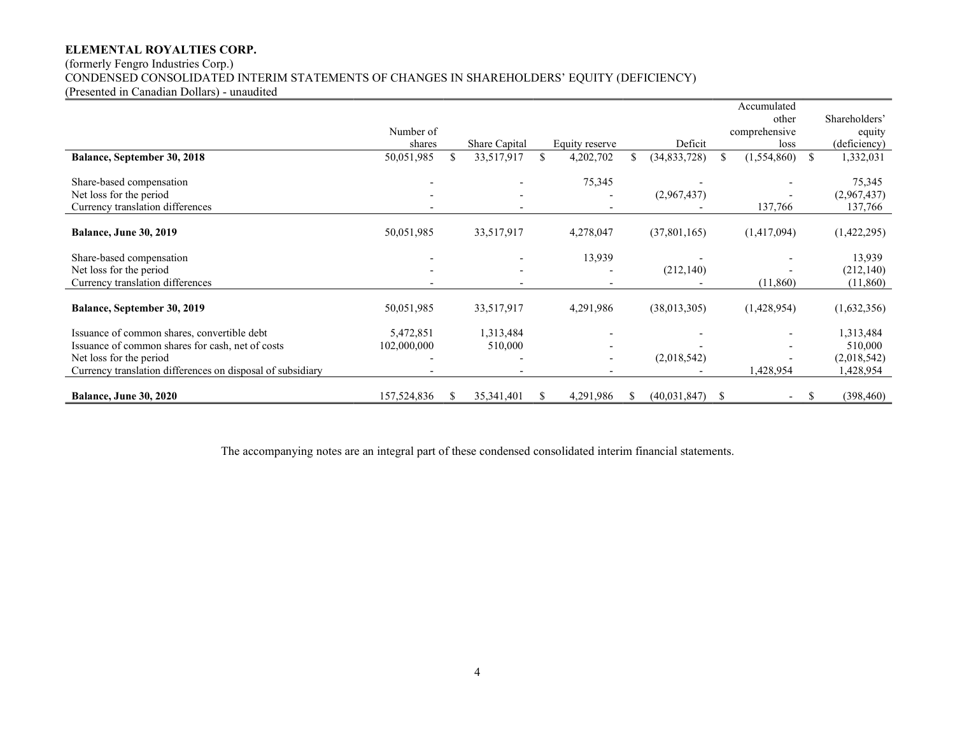# (formerly Fengro Industries Corp.) CONDENSED CONSOLIDATED INTERIM STATEMENTS OF CHANGES IN SHAREHOLDERS' EQUITY (DEFICIENCY)

(Presented in Canadian Dollars) - unaudited

|                                                            |             |    |               |    |                          |                    |               | Accumulated   |    |               |
|------------------------------------------------------------|-------------|----|---------------|----|--------------------------|--------------------|---------------|---------------|----|---------------|
|                                                            |             |    |               |    |                          |                    |               | other         |    | Shareholders' |
|                                                            | Number of   |    |               |    |                          |                    |               | comprehensive |    | equity        |
|                                                            | shares      |    | Share Capital |    | Equity reserve           | Deficit            |               | loss          |    | (deficiency)  |
| <b>Balance, September 30, 2018</b>                         | 50,051,985  |    | 33,517,917    |    | 4,202,702                | (34, 833, 728)     |               | (1, 554, 860) | -S | 1,332,031     |
| Share-based compensation                                   |             |    |               |    | 75,345                   |                    |               |               |    | 75,345        |
| Net loss for the period                                    |             |    |               |    |                          | (2,967,437)        |               |               |    | (2,967,437)   |
| Currency translation differences                           |             |    |               |    | $\overline{\phantom{0}}$ |                    |               | 137,766       |    | 137,766       |
|                                                            |             |    |               |    |                          |                    |               |               |    |               |
| <b>Balance, June 30, 2019</b>                              | 50,051,985  |    | 33,517,917    |    | 4,278,047                | (37,801,165)       |               | (1,417,094)   |    | (1,422,295)   |
| Share-based compensation                                   |             |    |               |    | 13,939                   |                    |               |               |    | 13,939        |
| Net loss for the period                                    |             |    |               |    |                          | (212, 140)         |               |               |    | (212, 140)    |
| Currency translation differences                           |             |    |               |    |                          |                    |               | (11,860)      |    | (11,860)      |
|                                                            |             |    |               |    |                          |                    |               |               |    |               |
| <b>Balance, September 30, 2019</b>                         | 50,051,985  |    | 33,517,917    |    | 4,291,986                | (38,013,305)       |               | (1,428,954)   |    | (1,632,356)   |
| Issuance of common shares, convertible debt                | 5,472,851   |    | 1,313,484     |    |                          |                    |               |               |    | 1,313,484     |
| Issuance of common shares for cash, net of costs           | 102,000,000 |    | 510,000       |    | $\overline{\phantom{a}}$ |                    |               |               |    | 510,000       |
| Net loss for the period                                    |             |    |               |    | $\overline{\phantom{a}}$ | (2,018,542)        |               |               |    | (2,018,542)   |
| Currency translation differences on disposal of subsidiary |             |    |               |    | $\overline{\phantom{0}}$ |                    |               | 1,428,954     |    | 1,428,954     |
|                                                            |             |    |               |    |                          |                    |               |               |    |               |
| <b>Balance, June 30, 2020</b>                              | 157,524,836 | S. | 35, 341, 401  | S. | 4,291,986                | \$<br>(40,031,847) | <sup>\$</sup> |               |    | (398, 460)    |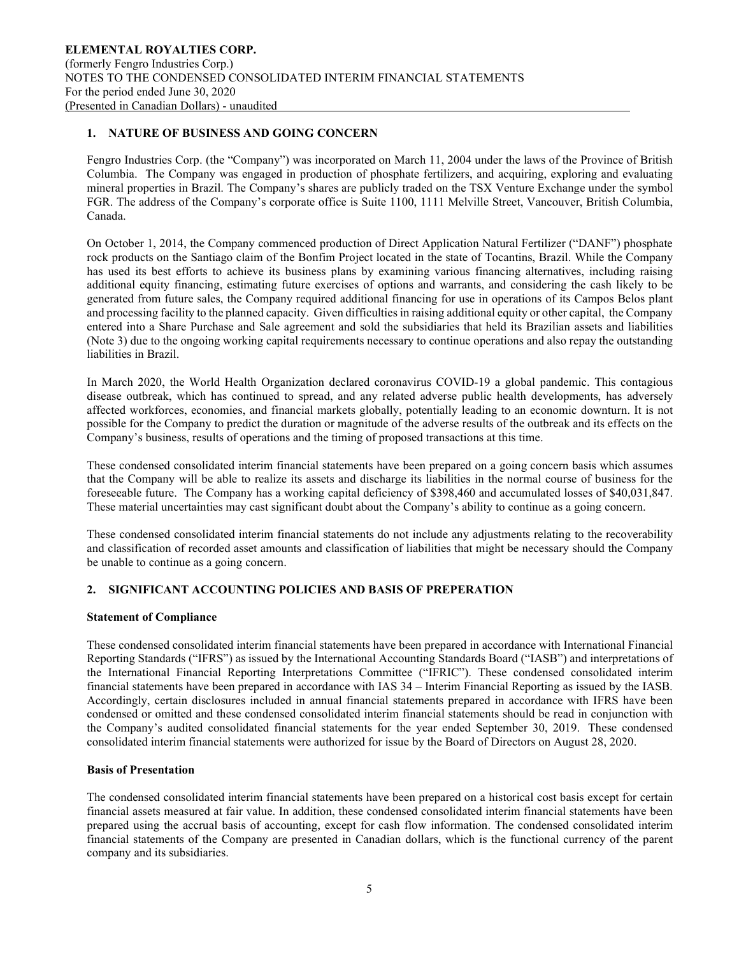# 1. NATURE OF BUSINESS AND GOING CONCERN

Fengro Industries Corp. (the "Company") was incorporated on March 11, 2004 under the laws of the Province of British Columbia. The Company was engaged in production of phosphate fertilizers, and acquiring, exploring and evaluating mineral properties in Brazil. The Company's shares are publicly traded on the TSX Venture Exchange under the symbol FGR. The address of the Company's corporate office is Suite 1100, 1111 Melville Street, Vancouver, British Columbia, Canada.

On October 1, 2014, the Company commenced production of Direct Application Natural Fertilizer ("DANF") phosphate rock products on the Santiago claim of the Bonfim Project located in the state of Tocantins, Brazil. While the Company has used its best efforts to achieve its business plans by examining various financing alternatives, including raising additional equity financing, estimating future exercises of options and warrants, and considering the cash likely to be generated from future sales, the Company required additional financing for use in operations of its Campos Belos plant and processing facility to the planned capacity. Given difficulties in raising additional equity or other capital, the Company entered into a Share Purchase and Sale agreement and sold the subsidiaries that held its Brazilian assets and liabilities (Note 3) due to the ongoing working capital requirements necessary to continue operations and also repay the outstanding liabilities in Brazil.

In March 2020, the World Health Organization declared coronavirus COVID-19 a global pandemic. This contagious disease outbreak, which has continued to spread, and any related adverse public health developments, has adversely affected workforces, economies, and financial markets globally, potentially leading to an economic downturn. It is not possible for the Company to predict the duration or magnitude of the adverse results of the outbreak and its effects on the Company's business, results of operations and the timing of proposed transactions at this time.

These condensed consolidated interim financial statements have been prepared on a going concern basis which assumes that the Company will be able to realize its assets and discharge its liabilities in the normal course of business for the foreseeable future. The Company has a working capital deficiency of \$398,460 and accumulated losses of \$40,031,847. These material uncertainties may cast significant doubt about the Company's ability to continue as a going concern.

These condensed consolidated interim financial statements do not include any adjustments relating to the recoverability and classification of recorded asset amounts and classification of liabilities that might be necessary should the Company be unable to continue as a going concern.

# 2. SIGNIFICANT ACCOUNTING POLICIES AND BASIS OF PREPERATION

# Statement of Compliance

These condensed consolidated interim financial statements have been prepared in accordance with International Financial Reporting Standards ("IFRS") as issued by the International Accounting Standards Board ("IASB") and interpretations of the International Financial Reporting Interpretations Committee ("IFRIC"). These condensed consolidated interim financial statements have been prepared in accordance with IAS 34 – Interim Financial Reporting as issued by the IASB. Accordingly, certain disclosures included in annual financial statements prepared in accordance with IFRS have been condensed or omitted and these condensed consolidated interim financial statements should be read in conjunction with the Company's audited consolidated financial statements for the year ended September 30, 2019. These condensed consolidated interim financial statements were authorized for issue by the Board of Directors on August 28, 2020.

#### Basis of Presentation

The condensed consolidated interim financial statements have been prepared on a historical cost basis except for certain financial assets measured at fair value. In addition, these condensed consolidated interim financial statements have been prepared using the accrual basis of accounting, except for cash flow information. The condensed consolidated interim financial statements of the Company are presented in Canadian dollars, which is the functional currency of the parent company and its subsidiaries.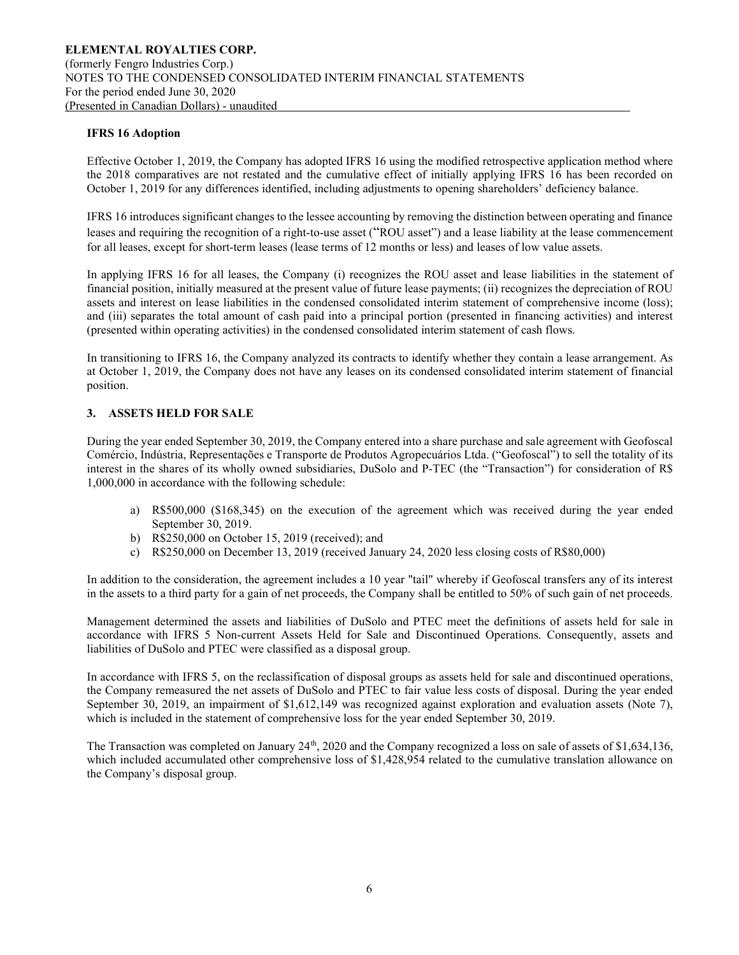#### IFRS 16 Adoption

Effective October 1, 2019, the Company has adopted IFRS 16 using the modified retrospective application method where the 2018 comparatives are not restated and the cumulative effect of initially applying IFRS 16 has been recorded on October 1, 2019 for any differences identified, including adjustments to opening shareholders' deficiency balance.

IFRS 16 introduces significant changes to the lessee accounting by removing the distinction between operating and finance leases and requiring the recognition of a right-to-use asset ("ROU asset") and a lease liability at the lease commencement for all leases, except for short-term leases (lease terms of 12 months or less) and leases of low value assets.

In applying IFRS 16 for all leases, the Company (i) recognizes the ROU asset and lease liabilities in the statement of financial position, initially measured at the present value of future lease payments; (ii) recognizes the depreciation of ROU assets and interest on lease liabilities in the condensed consolidated interim statement of comprehensive income (loss); and (iii) separates the total amount of cash paid into a principal portion (presented in financing activities) and interest (presented within operating activities) in the condensed consolidated interim statement of cash flows.

In transitioning to IFRS 16, the Company analyzed its contracts to identify whether they contain a lease arrangement. As at October 1, 2019, the Company does not have any leases on its condensed consolidated interim statement of financial position.

#### 3. ASSETS HELD FOR SALE

During the year ended September 30, 2019, the Company entered into a share purchase and sale agreement with Geofoscal Comércio, Indústria, Representações e Transporte de Produtos Agropecuários Ltda. ("Geofoscal") to sell the totality of its interest in the shares of its wholly owned subsidiaries, DuSolo and P-TEC (the "Transaction") for consideration of R\$ 1,000,000 in accordance with the following schedule:

- a) R\$500,000 (\$168,345) on the execution of the agreement which was received during the year ended September 30, 2019.
- b) R\$250,000 on October 15, 2019 (received); and
- c) R\$250,000 on December 13, 2019 (received January 24, 2020 less closing costs of R\$80,000)

In addition to the consideration, the agreement includes a 10 year "tail" whereby if Geofoscal transfers any of its interest in the assets to a third party for a gain of net proceeds, the Company shall be entitled to 50% of such gain of net proceeds.

Management determined the assets and liabilities of DuSolo and PTEC meet the definitions of assets held for sale in accordance with IFRS 5 Non-current Assets Held for Sale and Discontinued Operations. Consequently, assets and liabilities of DuSolo and PTEC were classified as a disposal group.

In accordance with IFRS 5, on the reclassification of disposal groups as assets held for sale and discontinued operations, the Company remeasured the net assets of DuSolo and PTEC to fair value less costs of disposal. During the year ended September 30, 2019, an impairment of \$1,612,149 was recognized against exploration and evaluation assets (Note 7), which is included in the statement of comprehensive loss for the year ended September 30, 2019.

The Transaction was completed on January 24<sup>th</sup>, 2020 and the Company recognized a loss on sale of assets of \$1,634,136, which included accumulated other comprehensive loss of \$1,428,954 related to the cumulative translation allowance on the Company's disposal group.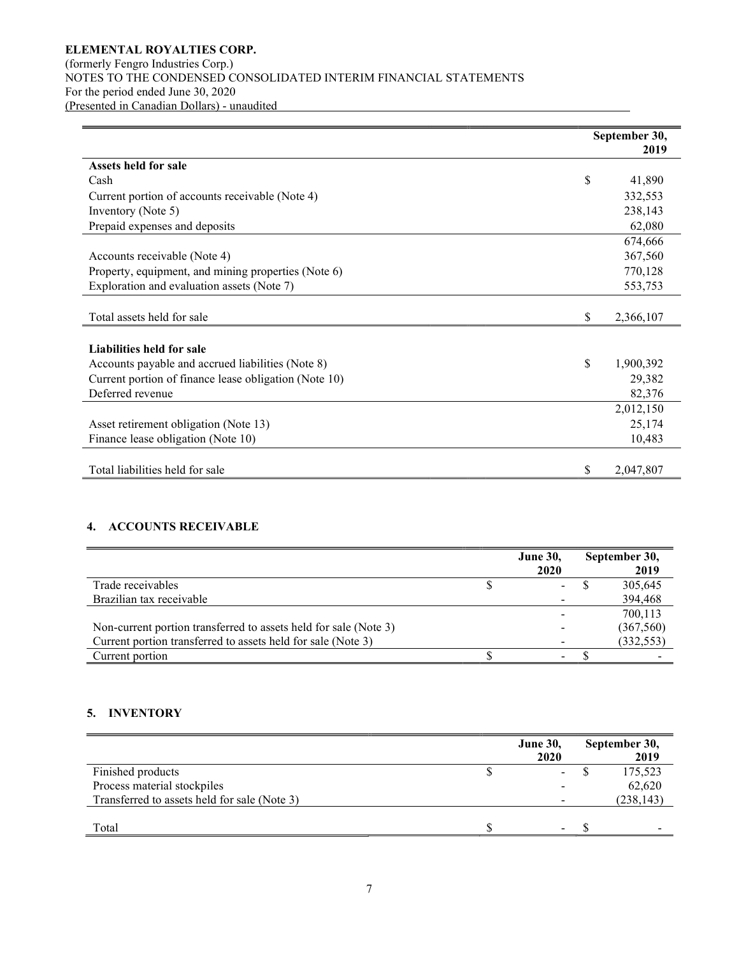# ELEMENTAL ROYALTIES CORP. (formerly Fengro Industries Corp.) NOTES TO THE CONDENSED CONSOLIDATED INTERIM FINANCIAL STATEMENTS For the period ended June 30, 2020 (Presented in Canadian Dollars) - unaudited

|                                                       | September 30, |           |
|-------------------------------------------------------|---------------|-----------|
|                                                       |               | 2019      |
| Assets held for sale                                  |               |           |
| Cash                                                  | \$            | 41,890    |
| Current portion of accounts receivable (Note 4)       |               | 332,553   |
| Inventory (Note 5)                                    |               | 238,143   |
| Prepaid expenses and deposits                         |               | 62,080    |
|                                                       |               | 674,666   |
| Accounts receivable (Note 4)                          |               | 367,560   |
| Property, equipment, and mining properties (Note 6)   |               | 770,128   |
| Exploration and evaluation assets (Note 7)            |               | 553,753   |
|                                                       |               |           |
| Total assets held for sale                            | \$            | 2,366,107 |
|                                                       |               |           |
| Liabilities held for sale                             |               |           |
| Accounts payable and accrued liabilities (Note 8)     | \$            | 1,900,392 |
| Current portion of finance lease obligation (Note 10) |               | 29,382    |
| Deferred revenue                                      |               | 82,376    |
|                                                       |               | 2,012,150 |
| Asset retirement obligation (Note 13)                 |               | 25,174    |
| Finance lease obligation (Note 10)                    |               | 10,483    |
|                                                       |               |           |
| Total liabilities held for sale                       | S             | 2,047,807 |

# 4. ACCOUNTS RECEIVABLE

|                                                                  | <b>June 30,</b>          | September 30, |
|------------------------------------------------------------------|--------------------------|---------------|
|                                                                  | 2020                     | 2019          |
| Trade receivables                                                | $\sim$                   | 305,645       |
| Brazilian tax receivable                                         |                          | 394,468       |
|                                                                  |                          | 700.113       |
| Non-current portion transferred to assets held for sale (Note 3) |                          | (367,560)     |
| Current portion transferred to assets held for sale (Note 3)     |                          | (332, 553)    |
| Current portion                                                  | $\overline{\phantom{a}}$ |               |

# 5. INVENTORY

|                                              | <b>June 30,</b>          | September 30, |
|----------------------------------------------|--------------------------|---------------|
|                                              | 2020                     | 2019          |
| Finished products                            | $\overline{\phantom{a}}$ | 175,523       |
| Process material stockpiles                  | $\overline{\phantom{0}}$ | 62,620        |
| Transferred to assets held for sale (Note 3) |                          | (238, 143)    |
|                                              |                          |               |
| Total                                        | $\overline{\phantom{a}}$ |               |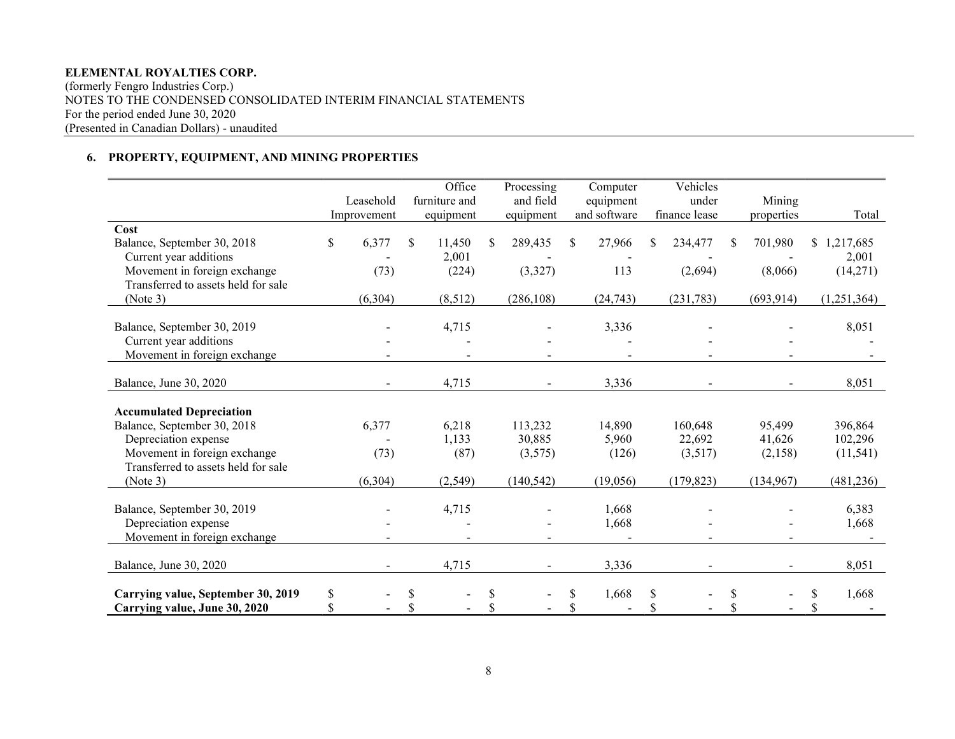(formerly Fengro Industries Corp.) NOTES TO THE CONDENSED CONSOLIDATED INTERIM FINANCIAL STATEMENTS For the period ended June 30, 2020 (Presented in Canadian Dollars) - unaudited

# 6. PROPERTY, EQUIPMENT, AND MINING PROPERTIES

|                                     | Leasehold   |     | Office<br>furniture and | Processing<br>and field |    | Computer<br>equipment |     | Vehicles<br>under |    | Mining         |             |
|-------------------------------------|-------------|-----|-------------------------|-------------------------|----|-----------------------|-----|-------------------|----|----------------|-------------|
|                                     | Improvement |     | equipment               | equipment               |    | and software          |     | finance lease     |    | properties     | Total       |
| Cost                                |             |     |                         |                         |    |                       |     |                   |    |                |             |
| Balance, September 30, 2018         | \$<br>6,377 | \$. | 11,450                  | \$<br>289,435           | S. | 27,966                | \$. | 234,477           | \$ | 701,980        | \$1,217,685 |
| Current year additions              |             |     | 2,001                   |                         |    |                       |     |                   |    |                | 2,001       |
| Movement in foreign exchange        | (73)        |     | (224)                   | (3,327)                 |    | 113                   |     | (2,694)           |    | (8,066)        | (14,271)    |
| Transferred to assets held for sale |             |     |                         |                         |    |                       |     |                   |    |                |             |
| (Note 3)                            | (6,304)     |     | (8,512)                 | (286, 108)              |    | (24, 743)             |     | (231, 783)        |    | (693, 914)     | (1,251,364) |
|                                     |             |     |                         |                         |    |                       |     |                   |    |                |             |
| Balance, September 30, 2019         |             |     | 4,715                   |                         |    | 3,336                 |     |                   |    |                | 8,051       |
| Current year additions              |             |     |                         |                         |    |                       |     |                   |    |                |             |
| Movement in foreign exchange        |             |     |                         |                         |    |                       |     |                   |    |                |             |
| Balance, June 30, 2020              |             |     | 4,715                   | $\blacksquare$          |    | 3,336                 |     | $\blacksquare$    |    | $\blacksquare$ | 8,051       |
|                                     |             |     |                         |                         |    |                       |     |                   |    |                |             |
| <b>Accumulated Depreciation</b>     |             |     |                         |                         |    |                       |     |                   |    |                |             |
| Balance, September 30, 2018         | 6,377       |     | 6,218                   | 113,232                 |    | 14,890                |     | 160,648           |    | 95,499         | 396,864     |
| Depreciation expense                |             |     | 1,133                   | 30,885                  |    | 5,960                 |     | 22,692            |    | 41,626         | 102,296     |
| Movement in foreign exchange        | (73)        |     | (87)                    | (3,575)                 |    | (126)                 |     | (3,517)           |    | (2,158)        | (11, 541)   |
| Transferred to assets held for sale |             |     |                         |                         |    |                       |     |                   |    |                |             |
| (Note 3)                            | (6,304)     |     | (2, 549)                | (140, 542)              |    | (19,056)              |     | (179, 823)        |    | (134,967)      | (481, 236)  |
| Balance, September 30, 2019         |             |     | 4,715                   |                         |    | 1,668                 |     |                   |    |                | 6,383       |
| Depreciation expense                |             |     |                         |                         |    | 1,668                 |     |                   |    |                | 1,668       |
| Movement in foreign exchange        |             |     |                         |                         |    |                       |     |                   |    |                |             |
|                                     |             |     |                         |                         |    |                       |     |                   |    |                |             |
| Balance, June 30, 2020              |             |     | 4,715                   |                         |    | 3,336                 |     |                   |    |                | 8,051       |
| Carrying value, September 30, 2019  | \$          | \$  |                         | \$                      | \$ | 1,668                 | \$  |                   | S  |                | \$<br>1,668 |
| Carrying value, June 30, 2020       | \$          | \$  |                         | \$                      | \$ |                       | \$  |                   | \$ |                | \$          |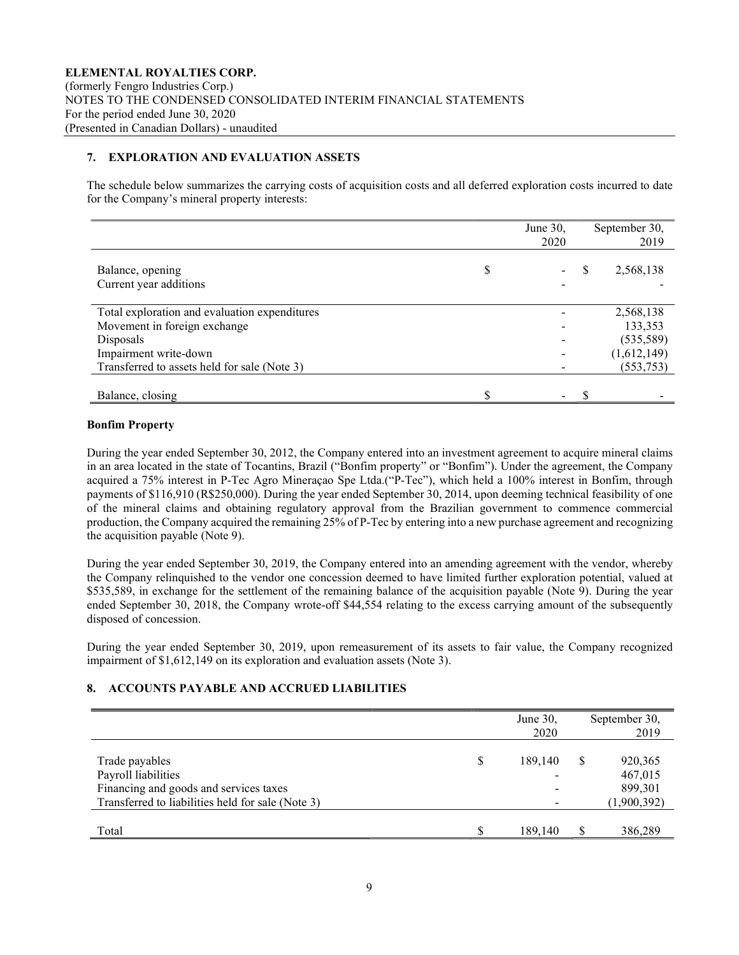# 7. EXPLORATION AND EVALUATION ASSETS

The schedule below summarizes the carrying costs of acquisition costs and all deferred exploration costs incurred to date for the Company's mineral property interests:

|                                               | June 30,<br>2020 | September 30,<br>2019 |
|-----------------------------------------------|------------------|-----------------------|
| Balance, opening<br>Current year additions    | \$               | 2,568,138             |
| Total exploration and evaluation expenditures |                  | 2,568,138             |
| Movement in foreign exchange                  |                  | 133,353               |
| Disposals                                     |                  | (535,589)             |
| Impairment write-down                         |                  | (1,612,149)           |
| Transferred to assets held for sale (Note 3)  |                  | (553, 753)            |
|                                               |                  |                       |
| Balance, closing                              | ۰.               |                       |

#### Bonfim Property

During the year ended September 30, 2012, the Company entered into an investment agreement to acquire mineral claims in an area located in the state of Tocantins, Brazil ("Bonfim property" or "Bonfim"). Under the agreement, the Company acquired a 75% interest in P-Tec Agro Mineraçao Spe Ltda.("P-Tec"), which held a 100% interest in Bonfim, through payments of \$116,910 (R\$250,000). During the year ended September 30, 2014, upon deeming technical feasibility of one of the mineral claims and obtaining regulatory approval from the Brazilian government to commence commercial production, the Company acquired the remaining 25% of P-Tec by entering into a new purchase agreement and recognizing the acquisition payable (Note 9).

During the year ended September 30, 2019, the Company entered into an amending agreement with the vendor, whereby the Company relinquished to the vendor one concession deemed to have limited further exploration potential, valued at \$535,589, in exchange for the settlement of the remaining balance of the acquisition payable (Note 9). During the year ended September 30, 2018, the Company wrote-off \$44,554 relating to the excess carrying amount of the subsequently disposed of concession.

During the year ended September 30, 2019, upon remeasurement of its assets to fair value, the Company recognized impairment of \$1,612,149 on its exploration and evaluation assets (Note 3).

# 8. ACCOUNTS PAYABLE AND ACCRUED LIABILITIES

|                                                                                                                                      |    | June 30,<br>2020 | September 30,<br>2019                        |
|--------------------------------------------------------------------------------------------------------------------------------------|----|------------------|----------------------------------------------|
| Trade payables<br>Payroll liabilities<br>Financing and goods and services taxes<br>Transferred to liabilities held for sale (Note 3) | \$ | 189,140          | 920,365<br>467,015<br>899,301<br>(1,900,392) |
| Total                                                                                                                                | S  | 189,140          | 386,289                                      |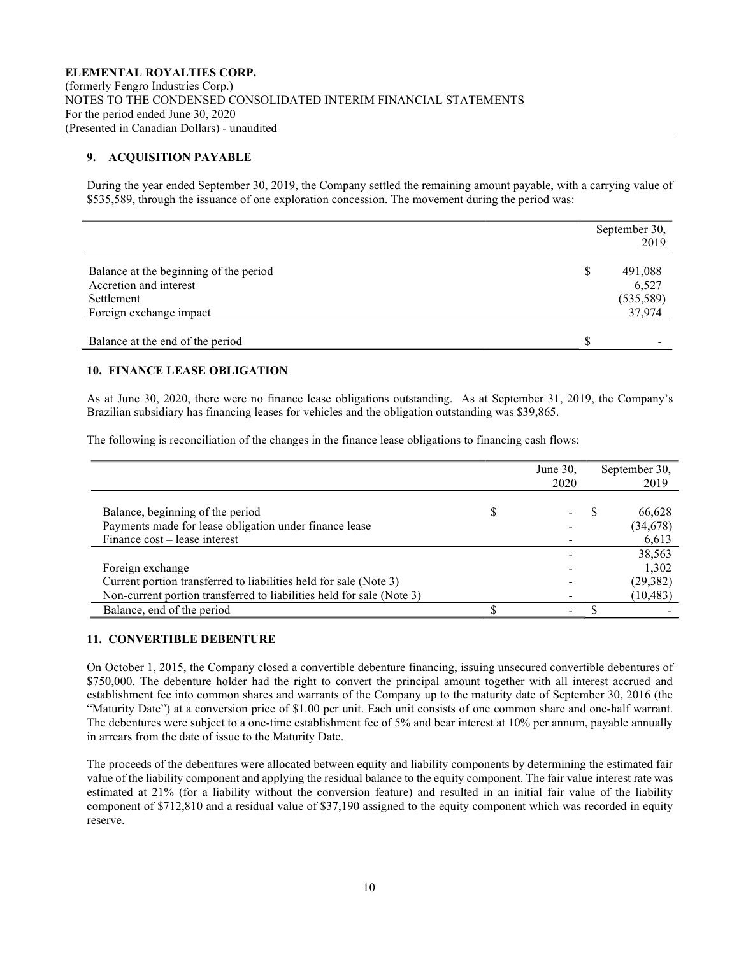# 9. ACQUISITION PAYABLE

During the year ended September 30, 2019, the Company settled the remaining amount payable, with a carrying value of \$535,589, through the issuance of one exploration concession. The movement during the period was:

|                                        |   | September 30,<br>2019 |
|----------------------------------------|---|-----------------------|
|                                        |   |                       |
| Balance at the beginning of the period | S | 491,088               |
| Accretion and interest                 |   | 6,527                 |
| Settlement                             |   | (535,589)             |
| Foreign exchange impact                |   | 37,974                |
|                                        |   |                       |
| Balance at the end of the period       |   |                       |

# 10. FINANCE LEASE OBLIGATION

As at June 30, 2020, there were no finance lease obligations outstanding. As at September 31, 2019, the Company's Brazilian subsidiary has financing leases for vehicles and the obligation outstanding was \$39,865.

The following is reconciliation of the changes in the finance lease obligations to financing cash flows:

|                                                                       | June $30$ ,<br>2020 | September 30,<br>2019 |
|-----------------------------------------------------------------------|---------------------|-----------------------|
|                                                                       |                     |                       |
| Balance, beginning of the period                                      |                     | 66,628                |
| Payments made for lease obligation under finance lease                |                     | (34, 678)             |
| Finance cost – lease interest                                         |                     | 6,613                 |
|                                                                       |                     | 38,563                |
| Foreign exchange                                                      |                     | 1,302                 |
| Current portion transferred to liabilities held for sale (Note 3)     |                     | (29, 382)             |
| Non-current portion transferred to liabilities held for sale (Note 3) |                     | (10, 483)             |
| Balance, end of the period                                            |                     |                       |

# 11. CONVERTIBLE DEBENTURE

On October 1, 2015, the Company closed a convertible debenture financing, issuing unsecured convertible debentures of \$750,000. The debenture holder had the right to convert the principal amount together with all interest accrued and establishment fee into common shares and warrants of the Company up to the maturity date of September 30, 2016 (the "Maturity Date") at a conversion price of \$1.00 per unit. Each unit consists of one common share and one-half warrant. The debentures were subject to a one-time establishment fee of 5% and bear interest at 10% per annum, payable annually in arrears from the date of issue to the Maturity Date.

The proceeds of the debentures were allocated between equity and liability components by determining the estimated fair value of the liability component and applying the residual balance to the equity component. The fair value interest rate was estimated at 21% (for a liability without the conversion feature) and resulted in an initial fair value of the liability component of \$712,810 and a residual value of \$37,190 assigned to the equity component which was recorded in equity reserve.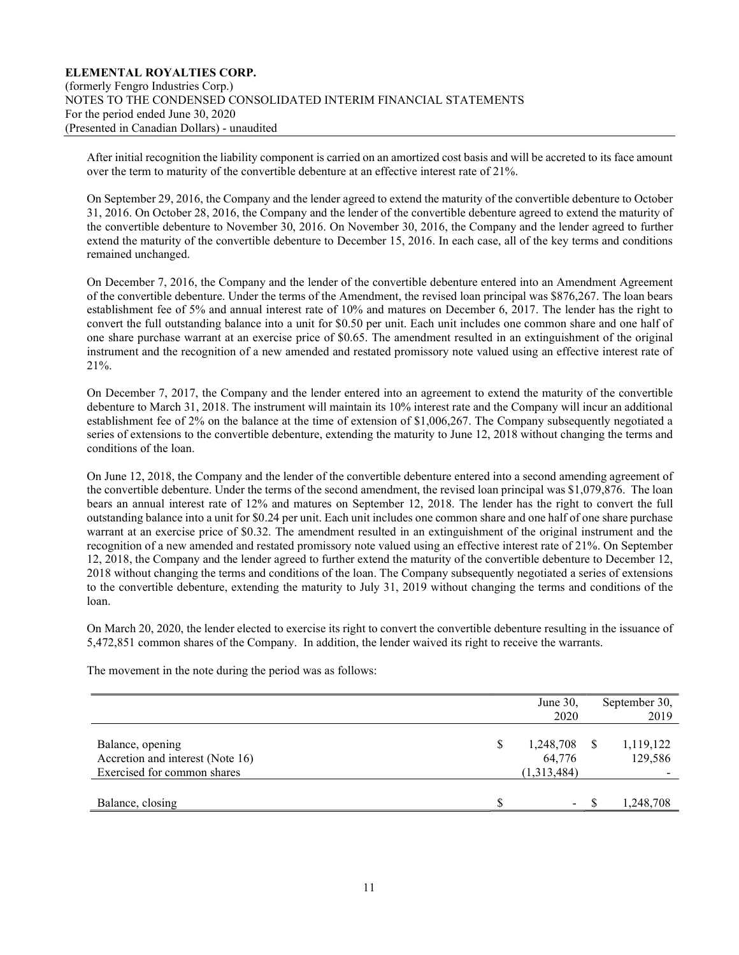After initial recognition the liability component is carried on an amortized cost basis and will be accreted to its face amount over the term to maturity of the convertible debenture at an effective interest rate of 21%.

On September 29, 2016, the Company and the lender agreed to extend the maturity of the convertible debenture to October 31, 2016. On October 28, 2016, the Company and the lender of the convertible debenture agreed to extend the maturity of the convertible debenture to November 30, 2016. On November 30, 2016, the Company and the lender agreed to further extend the maturity of the convertible debenture to December 15, 2016. In each case, all of the key terms and conditions remained unchanged.

On December 7, 2016, the Company and the lender of the convertible debenture entered into an Amendment Agreement of the convertible debenture. Under the terms of the Amendment, the revised loan principal was \$876,267. The loan bears establishment fee of 5% and annual interest rate of 10% and matures on December 6, 2017. The lender has the right to convert the full outstanding balance into a unit for \$0.50 per unit. Each unit includes one common share and one half of one share purchase warrant at an exercise price of \$0.65. The amendment resulted in an extinguishment of the original instrument and the recognition of a new amended and restated promissory note valued using an effective interest rate of 21%.

On December 7, 2017, the Company and the lender entered into an agreement to extend the maturity of the convertible debenture to March 31, 2018. The instrument will maintain its 10% interest rate and the Company will incur an additional establishment fee of 2% on the balance at the time of extension of \$1,006,267. The Company subsequently negotiated a series of extensions to the convertible debenture, extending the maturity to June 12, 2018 without changing the terms and conditions of the loan.

On June 12, 2018, the Company and the lender of the convertible debenture entered into a second amending agreement of the convertible debenture. Under the terms of the second amendment, the revised loan principal was \$1,079,876. The loan bears an annual interest rate of 12% and matures on September 12, 2018. The lender has the right to convert the full outstanding balance into a unit for \$0.24 per unit. Each unit includes one common share and one half of one share purchase warrant at an exercise price of \$0.32. The amendment resulted in an extinguishment of the original instrument and the recognition of a new amended and restated promissory note valued using an effective interest rate of 21%. On September 12, 2018, the Company and the lender agreed to further extend the maturity of the convertible debenture to December 12, 2018 without changing the terms and conditions of the loan. The Company subsequently negotiated a series of extensions to the convertible debenture, extending the maturity to July 31, 2019 without changing the terms and conditions of the loan.

On March 20, 2020, the lender elected to exercise its right to convert the convertible debenture resulting in the issuance of 5,472,851 common shares of the Company. In addition, the lender waived its right to receive the warrants.

|                                                                                     | June 30,<br>2020                         |   | September 30,<br>2019 |
|-------------------------------------------------------------------------------------|------------------------------------------|---|-----------------------|
| Balance, opening<br>Accretion and interest (Note 16)<br>Exercised for common shares | \$<br>1,248,708<br>64,776<br>(1,313,484) | S | 1,119,122<br>129,586  |
| Balance, closing                                                                    | $\sim$                                   |   | 1,248,708             |

The movement in the note during the period was as follows: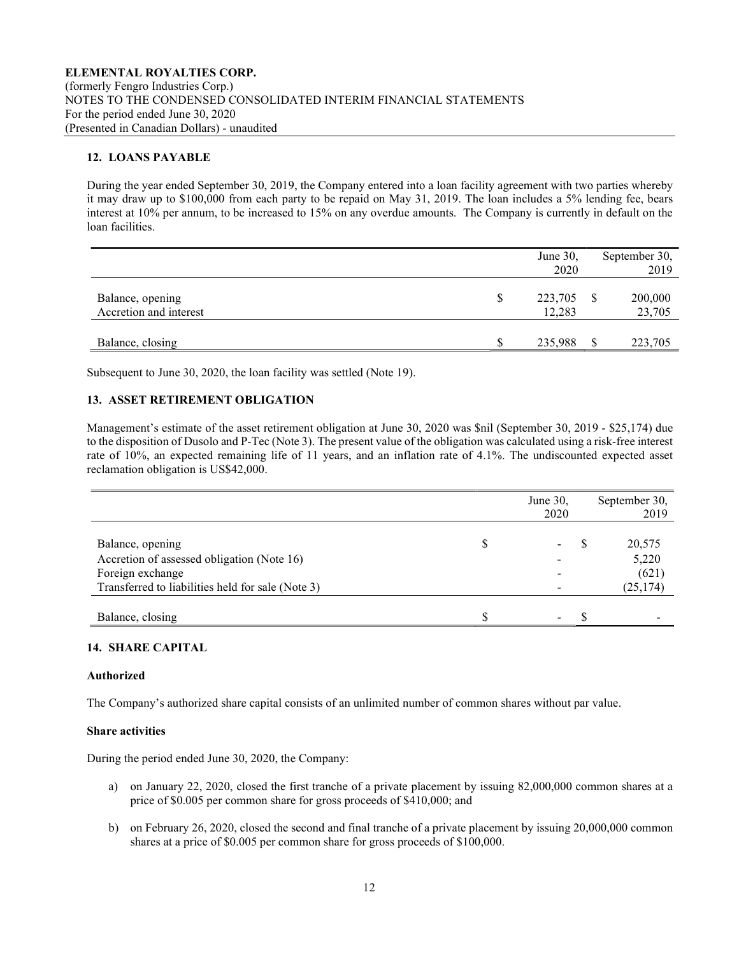# 12. LOANS PAYABLE

During the year ended September 30, 2019, the Company entered into a loan facility agreement with two parties whereby it may draw up to \$100,000 from each party to be repaid on May 31, 2019. The loan includes a 5% lending fee, bears interest at 10% per annum, to be increased to 15% on any overdue amounts. The Company is currently in default on the loan facilities.

|                                            |   | June 30,          |   | September 30,     |
|--------------------------------------------|---|-------------------|---|-------------------|
|                                            |   | 2020              |   | 2019              |
| Balance, opening<br>Accretion and interest | S | 223,705<br>12,283 | S | 200,000<br>23,705 |
| Balance, closing                           |   | 235,988           |   | 223,705           |

Subsequent to June 30, 2020, the loan facility was settled (Note 19).

# 13. ASSET RETIREMENT OBLIGATION

Management's estimate of the asset retirement obligation at June 30, 2020 was \$nil (September 30, 2019 - \$25,174) due to the disposition of Dusolo and P-Tec (Note 3). The present value of the obligation was calculated using a risk-free interest rate of 10%, an expected remaining life of 11 years, and an inflation rate of 4.1%. The undiscounted expected asset reclamation obligation is US\$42,000.

|                                                                                                                                         | June 30,<br>2020 | September 30,<br>2019                 |
|-----------------------------------------------------------------------------------------------------------------------------------------|------------------|---------------------------------------|
| Balance, opening<br>Accretion of assessed obligation (Note 16)<br>Foreign exchange<br>Transferred to liabilities held for sale (Note 3) |                  | 20,575<br>5,220<br>(621)<br>(25, 174) |
| Balance, closing                                                                                                                        |                  |                                       |

# 14. SHARE CAPITAL

#### Authorized

The Company's authorized share capital consists of an unlimited number of common shares without par value.

#### Share activities

During the period ended June 30, 2020, the Company:

- a) on January 22, 2020, closed the first tranche of a private placement by issuing 82,000,000 common shares at a price of \$0.005 per common share for gross proceeds of \$410,000; and
- b) on February 26, 2020, closed the second and final tranche of a private placement by issuing 20,000,000 common shares at a price of \$0.005 per common share for gross proceeds of \$100,000.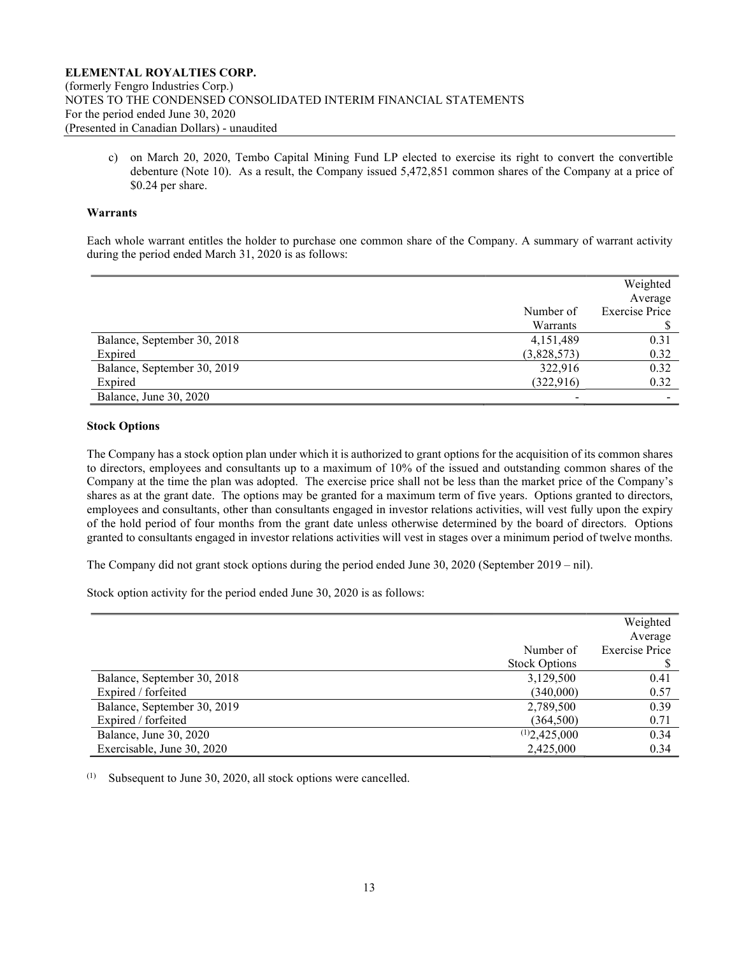c) on March 20, 2020, Tembo Capital Mining Fund LP elected to exercise its right to convert the convertible debenture (Note 10). As a result, the Company issued 5,472,851 common shares of the Company at a price of \$0.24 per share.

#### Warrants

Each whole warrant entitles the holder to purchase one common share of the Company. A summary of warrant activity during the period ended March 31, 2020 is as follows:

|                             |             | Weighted              |
|-----------------------------|-------------|-----------------------|
|                             |             | Average               |
|                             | Number of   | <b>Exercise Price</b> |
|                             | Warrants    |                       |
| Balance, September 30, 2018 | 4,151,489   | 0.31                  |
| Expired                     | (3,828,573) | 0.32                  |
| Balance, September 30, 2019 | 322,916     | 0.32                  |
| Expired                     | (322, 916)  | 0.32                  |
| Balance, June 30, 2020      |             |                       |

#### Stock Options

The Company has a stock option plan under which it is authorized to grant options for the acquisition of its common shares to directors, employees and consultants up to a maximum of 10% of the issued and outstanding common shares of the Company at the time the plan was adopted. The exercise price shall not be less than the market price of the Company's shares as at the grant date. The options may be granted for a maximum term of five years. Options granted to directors, employees and consultants, other than consultants engaged in investor relations activities, will vest fully upon the expiry of the hold period of four months from the grant date unless otherwise determined by the board of directors. Options granted to consultants engaged in investor relations activities will vest in stages over a minimum period of twelve months.

The Company did not grant stock options during the period ended June 30, 2020 (September 2019 – nil).

Stock option activity for the period ended June 30, 2020 is as follows:

|                             |                      | Weighted              |
|-----------------------------|----------------------|-----------------------|
|                             |                      | Average               |
|                             | Number of            | <b>Exercise Price</b> |
|                             | <b>Stock Options</b> |                       |
| Balance, September 30, 2018 | 3,129,500            | 0.41                  |
| Expired / forfeited         | (340,000)            | 0.57                  |
| Balance, September 30, 2019 | 2,789,500            | 0.39                  |
| Expired / forfeited         | (364, 500)           | 0.71                  |
| Balance, June 30, 2020      | (1)2,425,000         | 0.34                  |
| Exercisable, June 30, 2020  | 2,425,000            | 0.34                  |

 $(1)$  Subsequent to June 30, 2020, all stock options were cancelled.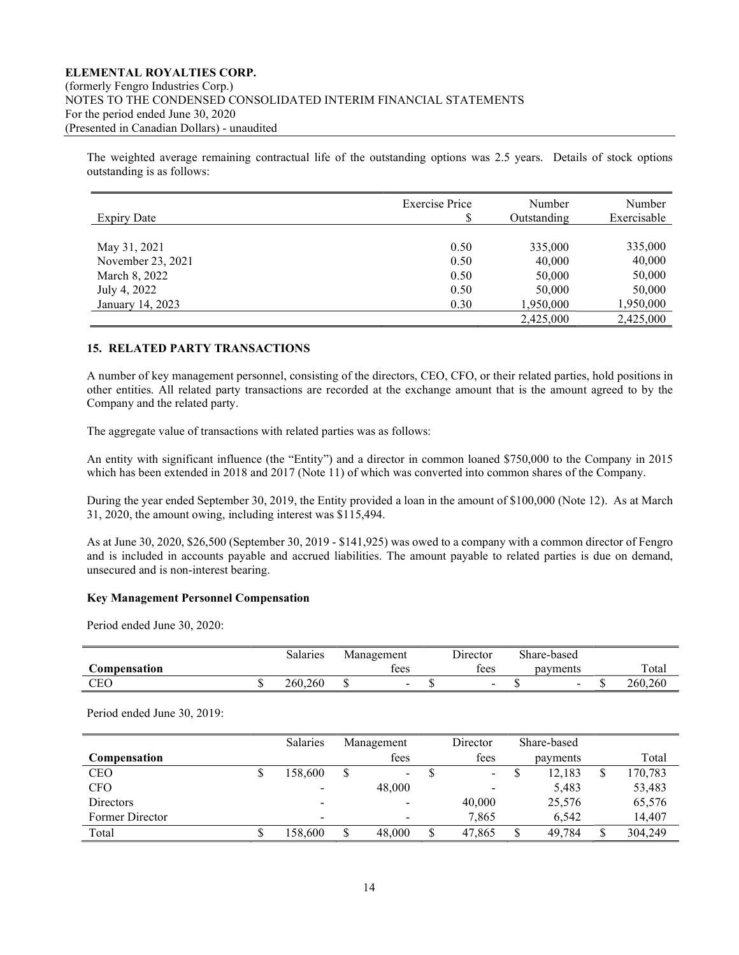The weighted average remaining contractual life of the outstanding options was 2.5 years. Details of stock options outstanding is as follows:

| <b>Expiry Date</b> | <b>Exercise Price</b><br>\$ | Number<br>Outstanding | Number<br>Exercisable |
|--------------------|-----------------------------|-----------------------|-----------------------|
|                    |                             |                       |                       |
| May 31, 2021       | 0.50                        | 335,000               | 335,000               |
| November 23, 2021  | 0.50                        | 40,000                | 40,000                |
| March 8, 2022      | 0.50                        | 50,000                | 50,000                |
| July 4, 2022       | 0.50                        | 50,000                | 50,000                |
| January 14, 2023   | 0.30                        | 1,950,000             | 1,950,000             |
|                    |                             | 2,425,000             | 2,425,000             |

# 15. RELATED PARTY TRANSACTIONS

A number of key management personnel, consisting of the directors, CEO, CFO, or their related parties, hold positions in other entities. All related party transactions are recorded at the exchange amount that is the amount agreed to by the Company and the related party.

The aggregate value of transactions with related parties was as follows:

An entity with significant influence (the "Entity") and a director in common loaned \$750,000 to the Company in 2015 which has been extended in 2018 and 2017 (Note 11) of which was converted into common shares of the Company.

During the year ended September 30, 2019, the Entity provided a loan in the amount of \$100,000 (Note 12). As at March 31, 2020, the amount owing, including interest was \$115,494.

As at June 30, 2020, \$26,500 (September 30, 2019 - \$141,925) was owed to a company with a common director of Fengro and is included in accounts payable and accrued liabilities. The amount payable to related parties is due on demand, unsecured and is non-interest bearing.

#### Key Management Personnel Compensation

Period ended June 30, 2020:

|              | Salaries | Management | Director                 | Share-based              |         |
|--------------|----------|------------|--------------------------|--------------------------|---------|
| Compensation |          | tees       | tees                     | payments                 | Total   |
| <b>CEO</b>   | 260,260  |            | $\overline{\phantom{0}}$ | $\overline{\phantom{0}}$ | 260,260 |

Period ended June 30, 2019:

|                  |   | <b>Salaries</b>          | Management               | Director                 | Share-based |         |
|------------------|---|--------------------------|--------------------------|--------------------------|-------------|---------|
| Compensation     |   |                          | fees                     | fees                     | payments    | Total   |
| <b>CEO</b>       | Φ | 158,600                  | $\sim$                   | $\overline{\phantom{a}}$ | 12.183      | 170,783 |
| <b>CFO</b>       |   | $\overline{\phantom{a}}$ | 48,000                   | -                        | 5,483       | 53,483  |
| <b>Directors</b> |   | $\overline{\phantom{a}}$ | $\overline{\phantom{0}}$ | 40,000                   | 25,576      | 65,576  |
| Former Director  |   | $\overline{\phantom{a}}$ | -                        | 7,865                    | 6.542       | 14,407  |
| Total            | J | 158.600                  | 48,000                   | \$<br>47.865             | 49.784      | 304,249 |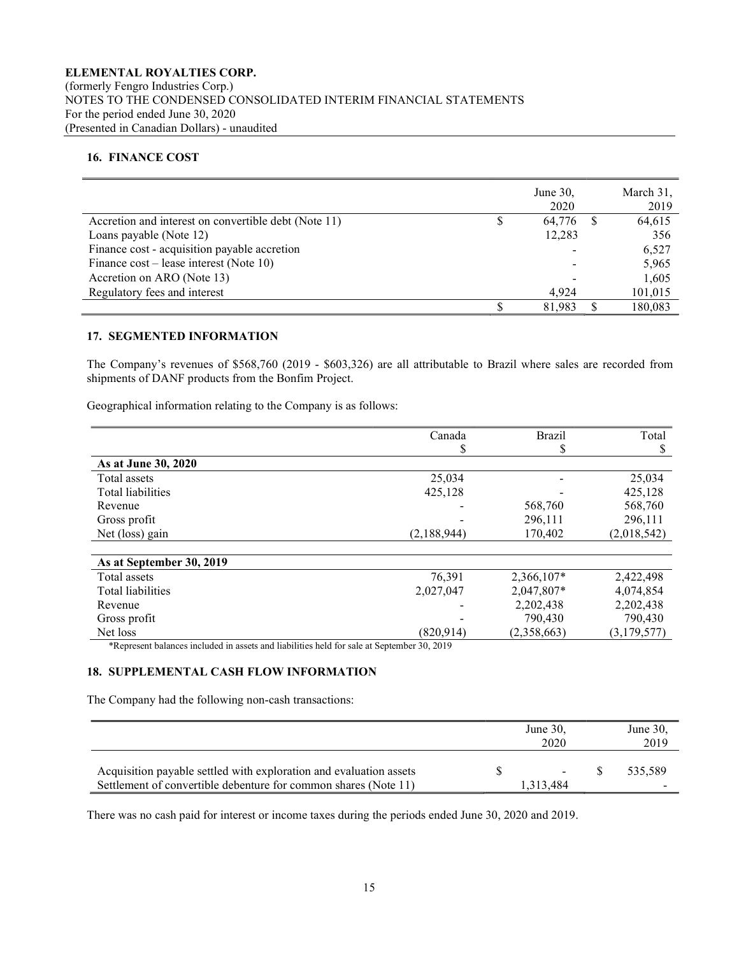# 16. FINANCE COST

|                                                      |   | June $30$ .<br>2020 | March 31,<br>2019 |
|------------------------------------------------------|---|---------------------|-------------------|
| Accretion and interest on convertible debt (Note 11) | S | 64.776              | 64,615            |
| Loans payable (Note 12)                              |   | 12,283              | 356               |
| Finance cost - acquisition payable accretion         |   |                     | 6,527             |
| Finance $cost$ – lease interest (Note 10)            |   |                     | 5,965             |
| Accretion on ARO (Note 13)                           |   |                     | 1,605             |
| Regulatory fees and interest                         |   | 4.924               | 101,015           |
|                                                      |   | 81.983              | 180.083           |

#### 17. SEGMENTED INFORMATION

The Company's revenues of \$568,760 (2019 - \$603,326) are all attributable to Brazil where sales are recorded from shipments of DANF products from the Bonfim Project.

Geographical information relating to the Company is as follows:

| Canada      | <b>Brazil</b>                                                                              | Total       |
|-------------|--------------------------------------------------------------------------------------------|-------------|
| D           | D                                                                                          | D           |
|             |                                                                                            |             |
| 25,034      |                                                                                            | 25,034      |
| 425,128     |                                                                                            | 425.128     |
|             | 568,760                                                                                    | 568,760     |
|             | 296,111                                                                                    | 296,111     |
| (2,188,944) | 170,402                                                                                    | (2,018,542) |
|             |                                                                                            |             |
|             |                                                                                            |             |
| 76,391      | 2,366,107*                                                                                 | 2,422,498   |
| 2,027,047   | 2,047,807*                                                                                 | 4,074,854   |
|             | 2,202,438                                                                                  | 2,202,438   |
|             | 790,430                                                                                    | 790,430     |
| (820.914)   | (2,358,663)                                                                                | (3,179,577) |
|             | *Represent balances included in assets and liabilities held for sale at September 30, 2019 |             |

\*Represent balances included in assets and liabilities held for sale at September 30, 2019

#### 18. SUPPLEMENTAL CASH FLOW INFORMATION

The Company had the following non-cash transactions:

|                                                                                                                                       | June $30$ ,<br>2020 | June $30$ ,<br>2019 |
|---------------------------------------------------------------------------------------------------------------------------------------|---------------------|---------------------|
| Acquisition payable settled with exploration and evaluation assets<br>Settlement of convertible debenture for common shares (Note 11) | ۰.<br>1,313,484     | 535.589             |

There was no cash paid for interest or income taxes during the periods ended June 30, 2020 and 2019.